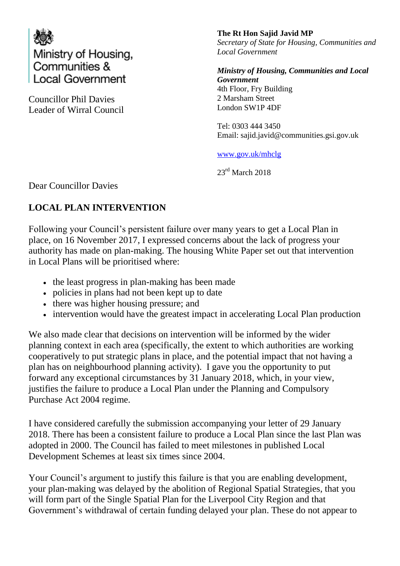

Councillor Phil Davies Leader of Wirral Council **The Rt Hon Sajid Javid MP** *Secretary of State for Housing, Communities and Local Government*

*Ministry of Housing, Communities and Local Government*  4th Floor, Fry Building 2 Marsham Street London SW1P 4DF

Tel: 0303 444 3450 Email: sajid.javid@communities.gsi.gov.uk

[www.gov.uk/mhclg](http://www.gov.uk/mhclg)

 $23<sup>rd</sup>$  March 2018

Dear Councillor Davies

## **LOCAL PLAN INTERVENTION**

Following your Council's persistent failure over many years to get a Local Plan in place, on 16 November 2017, I expressed concerns about the lack of progress your authority has made on plan-making. The housing White Paper set out that intervention in Local Plans will be prioritised where:

- the least progress in plan-making has been made
- policies in plans had not been kept up to date
- there was higher housing pressure; and
- intervention would have the greatest impact in accelerating Local Plan production

We also made clear that decisions on intervention will be informed by the wider planning context in each area (specifically, the extent to which authorities are working cooperatively to put strategic plans in place, and the potential impact that not having a plan has on neighbourhood planning activity). I gave you the opportunity to put forward any exceptional circumstances by 31 January 2018, which, in your view, justifies the failure to produce a Local Plan under the Planning and Compulsory Purchase Act 2004 regime.

I have considered carefully the submission accompanying your letter of 29 January 2018. There has been a consistent failure to produce a Local Plan since the last Plan was adopted in 2000. The Council has failed to meet milestones in published Local Development Schemes at least six times since 2004.

Your Council's argument to justify this failure is that you are enabling development, your plan-making was delayed by the abolition of Regional Spatial Strategies, that you will form part of the Single Spatial Plan for the Liverpool City Region and that Government's withdrawal of certain funding delayed your plan. These do not appear to